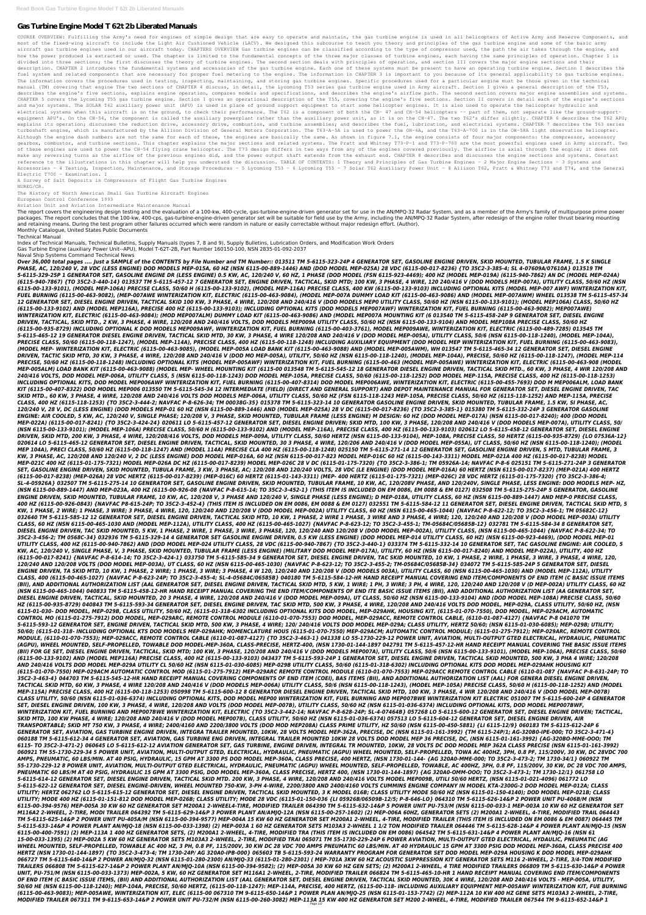# **Gas Turbine Engine Model T 62t 2b Liberated Manuals**

COURSE OVERVIEW: Fulfilling the Army's need for engines of simple design that are easy to operate and maintain, the gas turbine engine is used in all helicopters of Active Army and Reserve Components, and most of the fixed-wing aircraft to include the Light Air Cushioned Vehicle (LACV). We designed this subcourse to teach you theory and principles of the gas turbine engine and some of the basic army aircraft gas turbine engines used in our aircraft today. CHAPTERS OVERVIEW Gas turbine engines can be classified according to the type of compressor used, the path the air takes through the engine, and how the power produced is extracted or used. The chapter is limited to the fundamental concepts of the three major classes of turbine engines, each having the same principles of operation. Chapter 1 is divided into three sections; the first discusses the theory of turbine engines. The second section deals with principles of operation, and section III covers the major engine sections and their description. CHAPTER 2 introduces the fundamental systems and accessories of the gas turbine engine. Each one of these systems must be present to have an operating turbine engine. Section I describes the fuel system and related components that are necessary for proper fuel metering to the engine. The information in CHAPTER 3 is important to you because of its general applicability to gas turbine engines. The information covers the procedures used in testing, inspecting, maintaining, and storing gas turbine engines. Specific procedures used for a particular engine must be those given in the technical manual (TM) covering that engine The two sections of CHAPTER 4 discuss, in detail, the Lycoming T53 series gas turbine engine used in Army aircraft. Section I gives a general description of the T53, describes the engine's five sections, explains engine operation, compares models and specifications, and describes the engine's airflow path. The second section covers major engine assemblies and systems. CHAPTER 5 covers the Lycoming T55 gas turbine engine. Section I gives an operational description of the engine's five sections. Section II covers in detail each of the engine's sections and major systems. The SOLAR T62 auxiliary power unit (APU) is used in place of ground support equipment to start some helicopter engines. It is also used to operate the helicopter hydraulic and electrical systems when this aircraft is on the ground, to check their performance. The T62 is a component of both the CH- 47 and CH-54 helicopters -- part of them, not separate like the ground-supportequipment APU's. On the CH-54, the component is called the auxiliary powerplant rather than the auxiliary power unit, as it is on the CH-47. The two T62's differ slightly. CHAPTER 6 describes the T62 APU; explains its operation; discusses the reduction drive, accessory drive, combustion, and describes the fuel, lubrication, and electrical systems. CHAPTER 7 describes the T63 series turboshaft engine, which is manufactured by the Allison Division of General Motors Corporation. The T63-A-5A is used to power the OH-6A, and the T63-A-700 is in the OH-58A light observation helicopter. Although the engine dash numbers are not the same for each of these, the engines are basically the same. As shown in figure 7.1, the engine consists of four major components: the compressor, accessory gearbox, combustor, and turbine sections. This chapter explains the major sections and related systems. The Pratt and Whitney T73-P-1 and T73-P-700 are the most powerful engines used in Army aircraft. Two of these engines are used to power the CH-54 flying crane helicopter. The T73 design differs in two ways from any of the engines covered previously. The airflow is axial through the engine; it does not make any reversing turns as the airflow of the previous engines did, and the power output shaft extends from the exhaust end. CHAPTER 8 describes and discusses the engine sections and systems. Constant reference to the illustrations in this chapter will help you understand the discussion. TABLE OF CONTENTS: 1 Theory and Principles of Gas Turbine Engines - 2 Major Engine Sections - 3 Systems and Accessories - 4 Testing, Inspection, Maintenance, and Storage Procedures - 5 Lycoming T53 - 6 Lycoming T55 - 7 Solar T62 Auxiliary Power Unit - 8 Allison T62, Pratt & Whitney T73 and T74, and the General Electric T700 - Examination. I

The report covers the engineering design testing and the evaluation of a 100-kw, 400-cycle, gas-turbine-engine-driven generator set for use in the AN/MPQ-32 Radar System, and as a member of the Army's family of multipurpos packages. The report concludes that the 100-kw, 400-cps, gas-turbine-engine-driven generator set will be suitable for field use by the Army, including the AN/MPQ-32 Radar System, after redesign of the engine roller thrust and retaining means. During the test program other failures occurred which were random in nature or easily correctable without major redesign effort. (Author).

A Survey of Salt Deposits in Compressors of Flight Gas Turbine Engines NUREG/CR.

The History of North American Small Gas Turbine Aircraft Engines

European Control Conference 1993

Aviation Unit and Aviation Intermediate Maintenance Manual

Monthly Catalogue, United States Public Documents

Technical Manual

Index of Technical Manuals, Technical Bulletins, Supply Manuals (types 7, 8 and 9), Supply Bulletins, Lubrication Orders, and Modification Work Orders Gas Turbine Engine (auxiliary Power Unit--APU), Model T-62T-2B, Part Number 160150-100, NSN 2835-01-092-2037

Naval Ship Systems Command Technical News

Over 36,000 total pages .... Just a SAMPLE of the CONTENTS by File Number and TM Number:: 013511 TM 5-6115-323-24P 4 GENERATOR SET, GASOLINE ENGINE DRIVEN, SKID MOUNTED, TUBULAR FRAME, 1.5 K SINGLE *PHASE, AC, 120/240 V, 28 VDC (LESS ENGINE) DOD MODELS MEP-015A, 60 HZ (NSN 6115-00-889-1446) AND (DOD MODEL MEP-025A) 28 VDC (6115-00-017-8236) {TO 35C2-3-385-4; SL 4-07609A/07610A} 013519 TM 5-6115-329-25P 1 GENERATOR SET, GASOLINE ENGINE DR (LESS ENGINE) 0.5 KW, AC, 120/240 V, 60 HZ, 1 PHASE (DOD MODEL (FSN 6115-923-4469); 400 HZ (MODEL MEP-019A) (6115-940-7862) AN DC (MODEL MEP-024A) (6115-940-7867) {TO 35C2-3-440-14} 013537 TM 5-6115-457-12 7 GENERATOR SET, ENGINE DRIVEN, TACTICAL, SKID MTD; 100 KW, 3 PHASE, 4 WIRE, 120 240/416 V (DOD MODELS MEP-007A), UTILITY CLASS, 50/60 HZ (NSN 6115-00-133-9101), (MODEL MEP-106A) PRECISE CLASS, 50/60 H (6115-00-133-9102), (MODEL MEP-116A) PRECISE CLASS, 400 KW (6115-00-133-9103) INCLUDING OPTIONAL KITS (MODEL MEP-007 AWF) WINTERIZATION KIT, FUEL BURNING (6115-00-463-9082), (MEP-007AWE WINTERIZATION KIT, ELECTRIC (6115-00-463-9084), (MODEL MEP-007A DUMMY LOAD KIT (6115-00-463-9086) AND (MODEL MEP-007AWM) WHEEL 013538 TM 5-6115-457-34 12 GENERATOR SET, DIESEL ENGINE DRIVEN, TACTICAL SKID 100 KW, 3 PHASE, 4 WIRE, 120/208 AND 240/416 V (DOD MODELS MEP0 UTILITY CLASS, 50/60 HZ (NSN 6115-00-133-9101); (MODEL MEP106A) CLASS, 50/60 HZ (6115-00-133-9102) AND (MODEL MEP116A), PRECISE 400 HZ (6115-00-133-9103); INCLUDING OPTIONAL KITS (DOD MODELS MEP007AWF) WINTERIZATION KIT, FUEL BURNING (6115-00-463-9082); MEP007AWE) WINTERIZATION KIT, ELECTRIC (6115-00-463-9084); (MOD MEP007ALM) DUMMY LOAD KIT (6115-00-463-9086) AND (MODEL MEP007A MOUNTING KIT (6 013540 TM 5-6115-458-24P 9 GENERATOR SET, DIESEL ENGINE DRIVEN, TACTICAL, SKID MTD., 2 KW, 3 PHASE, 4 WIRE, 120/208 AND 240/416 VOLTS, DOD MODELS MEP009A UTILITY CLASS, 50/60 HZ (NSN 6115-00-133-9104) AND MODEL MEP108A PRECISE CLASS, 50/60 HZ (6115-00-935-8729) INCLUDING OPTIONAL K DOD MODELS MEP009AWF, WINTERIZATION KIT, FUEL BURNING (6115-00-403-3761), MODEL MEP009AWE, WINTERIZATION KIT, ELECTRIC (6115-00-489-7285) 013545 TM 5-6115-465-12 19 GENERATOR DIESEL ENGINE DRIVEN, TACTICAL SKID MTD, 30 KW, 3 PHASE, 4 WIRE 120/208 AND 240/416 V (DOD MODEL MEP-005A), UTILITY CLASS, 50/6 (NSN 6115-00-118-1240), (MODEL MEP-104A), PRECISE CLASS, 50/60 (6115-00-118-1247), (MODEL MEP-114A), PRECISE CLASS, 400 HZ (6115-00-118-1248) INCLUDING AUXILIARY EQUIPMENT (DOD MODEL MEP WINTERIZATION KIT, FUEL BURNING (6115-00-463-9083), (MODEL MEP- WINTERIZATION KIT, ELECTRIC (6115-00-463-9085), (MODEL MEP-005A LOAD BANK KIT (6115-00-463-9088) AND (MODEL MEP-005AWM), WH 013547 TM 5-6115-465-34 12 GENERATOR SET, DIESEL ENGINE DRIVEN, TACTIC SKID MTD, 30 KW, 3 PHASE, 4 WIRE, 120/208 AND 240/416 V (DOD MO MEP-005A), UTILITY, 50/60 HZ (NSN 6115-00-118-1240), (MODEL MEP-104A), PRECISE, 50/60 HZ (6115-00-118-1247), (MODEL MEP-114 PRECISE, 50/60 HZ (6115-00-118-1248) INCLUDING OPTIONAL KITS (MODEL MEP-005AWF) WINTERIZATION KIT, FUEL BURNING (6115-00-463 (MODEL MEP-005AWE) WINTERIZATION KIT, ELECTRIC (6115-00-463-908 (MODEL MEP-005ALM) LOAD BANK KIT (6115-00-463-9088) (MODEL MEP- WHEEL MOUNTING KIT (6115-00 013548 TM 5-6115-545-12 18 GENERATOR DIESEL ENGINE DRIVEN, TACTICAL SKID MTD., 60 KW, 3 PHASE, 4 WIR 120/208 AND 240/416 VOLTS, DOD MODEL MEP-006A, UTILITY CLASS, 5 (NSN 6115-00-118-1243) DOD MODEL MEP-105A, PRECISE CLASS, 50/60 (6115-00-118-1252) DOD MODEL MEP-115A, PRECISE CLASS, 400 HZ (6115-00-118-1253) INCLUDING OPTIONAL KITS, DOD MODEL MEP006AWF WINTERIZATION KIT, FUEL BURNING (6115-00-407-8314) DOD MODEL MEP006AWE, WINTERIZATION KIT, ELECTRIC (6115-00-455-7693) DOD M MEP006ALM, LOAD BANK KIT (6115-00-407-8322) DOD MODEL MEP006 013550 TM 5-6115-545-34 12 INTERMEDIATE (FIELD) (DIRECT AND GENERAL SUPPORT) AND DEPOT MAINTENANCE MANUAL FOR GENERATOR SET, DIESEL ENGINE DRIVEN, TAC SKID MTD., 60 KW, 3 PHASE, 4 WIRE, 120/208 AND 240/416 VOLTS DOD MODELS MEP-006A, UTILITY CLASS, 50/60 HZ (FSN 6115-118-1243 MEP-105A, PRECISE CLASS, 50/60 HZ (6115-118-1252) AND MEP-115A, PRECISE CLASS, 400 HZ (6115-118-1253) {TO 35C2-3-444-2; NAVFAC P-8-626-34; TM 00038G-35} 015378 TM 5-6115-323-14 10 GENERATOR GASOLINE ENGINE DRIVEN, SKID MOUNTED, TUBULAR FRAME, 1.5 KW, SI PHASE, AC, 120/240 V, 28 V, DC (LESS ENGINE) (DOD MODELS MEP-01 60 HZ (NSN 6115-00-889-1446) AND (MODEL MEP-025A) 28 V DC (6115-00-017-8236) {TO 35C2-3-385-1} 015380 TM 5-6115-332-24P 3 GENERATOR GASOLINE ENGINE: AIR COOLED, 5 KW, AC, 120/240 V, SINGLE PHASE; 120/208 V, 3 PHASE, SKID MOUNTED, TUBULAR FRAME (LESS ENGINE) M DESIGN: 60 HZ (DOD MODEL MEP-017A) (NSN 6115-00-017-8240); 400 (DOD MODEL MEP-022A) (6115-00-017-8241) {TO 35C2-3-424-24} 020611 LO 5-6115-457-12 GENERATOR SET, DIESEL ENGINE DRIVEN; SKID MTD, 100 KW, 3 PHASE, 120/208 AND 240/416 V (DOD MODELS MEP-007A), UTILITY CLASS, 50/ (NSN 6115-00-133-9101); (MODEL MEP-106A) PRECISE CLASS, 50/60 H (6115-00-133-9102) AND (MODEL MEP-116A), PRECISE CLASS, 400 HZ (6115-00-133-9103) 020612 LO 5-6115-458-12 GENERATOR SET, DIESEL ENGINE DRIVEN, SKID MTD, 200 KW, 3 PHASE, 4 WIRE, 120/208/416 VOLTS, DOD MODELS MEP-009A, UTILITY CLASS, 50/60 HERTZ (NSN 6115-00-133-9104), MEP-108A, PRECISE CLASS, 50 HERTZ (6115-00-935-8729) {LO 07536A-12} 020614 LO 5-6115-465-12 GENERATOR SET, DIESEL ENGINE DRIVEN, TACTICAL, SKID MOUNTED, 30 3 PHASE, 4 WIRE, 120/206 AND 240/416 V (DOD MODEL MEP-055A), UT CLASS, 50/60 HZ (NSN 6115-00-118-1240); (MODEL MEP 104A), PRECI CLASS, 50/60 HZ (6115-00-118-1247) AND (MODEL 114A) PRECISE CLA 400 HZ (6115-00-118-1248) 025150 TM 5-6115-271-14 12 GENERATOR SET, GASOLINE ENGINE DRIVEN, S MTD, TUBULAR FRAME, 3 KW, 3 PHASE, AC, 120/208 AND 120/240 V, 2 DC (LESS ENGINE) DOD MODEL MEP-016A, 60 HZ (NSN 6115-00-017-823 MODEL MEP-016C 60 HZ (6115-00-143-3311) MODEL MEP-021A 400 HZ (6115-00-017-8238) MODEL MEP-021C 400 HZ (6115-01-175-7321) MODEL MEP-026A DC HZ (6115-00-017-8239) MODEL MEP-026C 28 V DC (6115-01-175-7320) {TO 35C2-3-386-1; TM 05926A-14; NAVFAC P-8-6 025151 TM 5-6115-271-24P 3 GENERATOR SET, GASOLINE ENGINE DRIVEN, SKID MOUNTED, TUBULA FRAME, 3 KW, 3 PHASE, AC; 120/208 AND 120/240 VOLTS, 28 VDC (LE ENGINE) (DOD MODEL MEP-016A) 60 HERTZ (NSN 6115-00-017-8237) (MEP-021A) 400 HERTZ (6115-00-017-8238) (MEP-026A) 28 VDC HERTZ (6115-00-017-8239) (MEP-016C) 60 HERTZ (6115-01-143-3311) (MEP- 400 HERTZ (6115-01-175-7321) (MEP-026C) 28 VDC HERTZ (6115-01-175-7320) {TO 35C2-3-386-4; SL-4-05926A} 032507 TM 5-6115-275-14 10 GENERATOR SET, GASOLINE ENGINE DRIVEN, SKID MOUNTED, TUBULAR FRAME, 10 KW, AC, 120/208V PHASE, AND 120/240V, SINGLE PHASE, LESS ENGINE: DOD MODELS MEP- HZ, (NSN 6115-00-889-1447) AND MEP-023A, 400 HZ (6115-00-926-08 {NAVFAC P-8-615-14; TO 35C2-3-452-1} (THIS ITEM IS INCLUDED ON EM 0086, EM 0088 & EM 0127) 032508 TM 5-6115-275-24P 5 GENERATOR, GASOLINE ENGINE DRIVEN, SKID MOUNTED, TUBULAR FRAME, 10 KW, AC, 120/208 V, 3 PHASE AND 120/240 V, SINGLE PHASE (LESS ENGINE); D MEP-018A, UTILITY CLASS, 60 HZ (NSN 6115-00-889-1447) AND MEP-0 PRECISE CLASS, 400 HZ (6115-00-926-0843) {NAVFAC P8-615-24P; TO 35C2-3-452-4} (THIS ITEM IS INCLUDED ON EM 0086, EM 0088 & EM 0127) 032551 TM 5-6115-584-12 11 GENERATOR SET, DIESEL ENGINE DRIVEN, TACTICAL SKID MTD, 5 KW, 1 PHASE, 2 WIRE; 1 PHASE, 3 WIRE; 3 PHASE, 4 WIRE, 120, 120/240 AND 120/208 V (DOD MODEL MEP-002A) UTILITY CLASS, 60 HZ (NSN 6115-00-465-1044) {NAVFAC P-8-622-12; TO 35C2-3-456-1; TM 05682C-12} 032640 TM 5-6115-585-12 12 GENERATOR SET, DIESEL ENGINE DRIVEN, TACTICAL SKID MTD, 10 KW, 1 PHASE, 2 WIRE 1 PHASE, 3 WIRE AND 3 PHASE, 4 WIRE; 120, 120/240 AND 120/208 V (DOD MODEL MEP-003A) UTILITY CLASS, 60 HZ (NSN 6115-00-465-1030 AND (MODEL MEP-112A), UTILITY CLASS, 400 HZ (6115-00-465-1027) {NAVFAC P-8-623-12; TO 35C2-3-455-1; TM-05684C/05685B-12} 032781 TM 5-6115-584-34 8 GENERATOR SET, DIESEL ENGINE DRIVEN, TAC SKID MOUNTED, 5 KW, 1 PHASE, 2 WIRE, 1 PHASE, 3 WIRE, 3 PHASE, 120, 120/240 AND 120/208 V (DOD MODEL MEP-002A), UTILITY CLASS, (NSN 6115-00-465-1044) {NAVFAC P-8-622-34; TO 35C2-3-456-2; TM 0568C-34} 032936 TM 5-6115-329-14 4 GENERATOR SET GASOLINE ENGINE DRIVEN, 0.5 KW (LESS ENGINE) (DOD MODEL MEP-014 UTILITY CLASS, 60 HZ) (NSN 6115-00-923-4469), (DOD MODEL MEP-01 UTILITY CLASS, 400 HZ (6115-00-940-7862) AND (DOD MODEL MEP-024 UTILITY CLASS, 28 VDC (6115-00-940-7867) {TO 35C2-3-440-1} 033374 TM 5-6115-332-14 10 GENERATOR SET, TAC GASOLINE ENGINE: AIR COOLED, 5 KW, AC, 120/240 V, SINGLE PHASE, V, 3 PHASE, SKID MOUNTED, TUBULAR FRAME (LESS ENGINE) (MILITARY DOD MODEL MEP-017A), UTILITY, 60 HZ (NSN 6115-00-017-8240) AND MODEL MEP-022A), UTILITY, 400 HZ (6115-00-017-8241) {NAVFAC P-8-614-14; TO 35C2-3-424-1} 033750 TM 5-6115-585-34 9 GENERATOR SET, DIESEL ENGINE DRIVEN, TAC SKID MOUNTED, 10 KW, 1 PHASE, 2 WIRE, 1 PHASE, 3 WIRE, 3 PHASE, 4 WIRE, 120, 120/240 AND 120/208 VOLTS (DOD MODEL MEP-003A), UT CLASS, 60 HZ (NSN 6115-00-465-1030) {NAVFAC P-8-623-12; TO 35C2-3-455-2; TM-05684C/05685B-34} 034072 TM 5-6115-585-24P 5 GENERATOR SET, DIESEL ENGINE DRIVEN, TA SKID MTD, 10 KW, 1 PHASE, 2 WIRE; 1 PHASE, 3 WIRE; 3 PHASE, 4 W 120, 120/240 AND 120/208 V (DOD MODELS 003A), UTILITY CLASS, 60 (NSN 6115-00-465-1030) AND (MODEL MEP-112A), UTILITY CLASS, 400 (6115-00-465-1027) {NAVFAC P-8-623-24P; TO 35C2-3-455-4; SL-4-05684C/06585B} 040180 TM 5-6115-584-12-HR HAND RECEIPT MANUAL COVERING END ITEM/COMPONENTS OF END ITEM (C BASIC ISSUE ITEMS (BII), AND ADDITIONAL AUTHORIZATION LIST (AAL GENERATOR SET, DIESEL ENGINE DRIVEN, TACTICAL SKID MTD, 5 KW, 1 WIRE; 1 PH, 3 WIRE; 3 PH, 4 WIRE, 120, 120/240 AND 120/208 V (D MEP-002A) UTILITY CLASS, 60 HZ (NSN 6115-00-465-1044) 040833 TM 5-6115-458-12-HR HAND RECEIPT MANUAL COVERING THE END ITEM/COMPONENTS OF END ITE BASIC ISSUE ITEMS (BII), AND ADDITIONAL AUTHORIZATION LIST (AA GENERATOR SET, DIESEL ENGINE DRIVEN, TACTICAL, SKID MOUNTED, 20 3 PHASE, 4 WIRE, 120/208 AND 240/416 V (DOD MODEL MEP-009A), UT CLASS, 50/60 HZ (NSN 6115-00-133-9104) AND (DOD MODEL MEP-108A) PRECISE CLASS, 50/60 HZ (6115-00-935-8729) 040843 TM 5-6115-593-34 GENERATOR SET, DIESEL ENGINE DRIVEN, TAC SKID MTD, 500 KW, 3 PHASE, 4 WIRE, 120/208 AND 240/416 VOLTS DOD MODEL, MEP-029A, CLASS UTILITY, 50/60 HZ, (NSN 6115-01-030- DOD MODEL, MEP-029B, CLASS UTILITY, 50/60 HZ, (6115-01-318-6302 INCLUDING OPTIONAL KITS DOD MODEL, MEP-029AHK, HOUSING KIT, (6115-01-070-7550), DOD MODEL, MEP-029ACM, AUTOMATIC CONTROL MO (6115-01-275-7912) DOD MODEL, MEP-029ARC, REMOTE CONTROL MODULE (6110-01-070-7553) DOD MODEL, MEP-029ACC, REMOTE CONTROL CABLE, (6110-01-087-4127) {NAVFAC P-8 041070 TM 5-6115-593-12 GENERATOR SET, ENGINE DRIVEN, TACTICAL SKID MTD, 500 KW, 3 PHASE, 4 WIRE; 120/ 240/416 VOLTS DOD MODEL MEP-029A; CLASS UTILITY, HERTZ 50/60; (NSN 6115-01-030-6085); MEP-029B; UTILITY; 50/60; (6115-01-318- INCLUDING OPTIONAL KTS DOD MODELS MEP-029AHK; NOMENCLATURE HOUS (6115-01-070-7550) MEP-029ACM; AUTOMATIC CONTROL MODULE; (6115-01-275-7912); MEP-029ARC, REMOTE CONTROL MODULE, (6110-01-070-7553); MEP-029ACC, REMOTE CONTROL CABLE (6110-01-087-4127) {TO 35C2-3-463-1} 041338 LO 55-1730-229-12 POWER UNIT, AVIATION, MULTI-OUTPUT GTED ELECTRICAL, HYDRAULIC, PNEUMATIC (AGPU), WHEEL MOUNTED, SELF-PROPELLED, TOWABLE DOD MODEL-MEP-360A, CLASS-PRECISE, HERTZ-400, (NSN 1730-01-144-1897 042791 TM 5-6115-457-12-HR HAND RECEIPT MANUAL COVERING THE BASIC ISSUE ITEMS (BII) FOR GE SET, DIESEL ENGINE DRIVEN, TACTICAL, SKID MTD; 100 KW, 3 PHASE, 120/208 AND 240/416 V (DOD MODELS MEP007A), UTILITY CLASS, 50/6 (NSN 6115-00-133-9101), (MODEL MEP-106A), PRECISE CLASS, 50/60 (6115-00-133-9102) AND (MODEL MEP116A) PRECISE CLASS, 400 HZ (6115-00-133-9103) 043437 TM 5-6115-593-24P 1 GENERATOR SET, DIESEL ENGINE DRIVEN, TACTICAL SKID MOUNTED, 500 KW, 3 PHA 4 WIRE; 120/208 AND 240/416 VOLTS DOD MODEL MEP-029A UTILITY CL 50/60 HZ (NSN 6115-01-030-6085) MEP-029B UTILITY CLASS, 50/60 (6115-01-318-6302) INCLUDING OPTIONAL KITS DOD MODEL MEP-029AHK HOUSING KIT (6115-01-070-7550) MEP-029ACM AUTOMATIC CONTROL MOD (6115-01-275-7912) MEP-029ARC REMOTE CONTROL MODULE (6110-01-070-7553) MEP-029ACC REMOTE CONTROL CABLE (6110-01-087 {NAVFAC P-8-631-24P; TO 35C2-3-463-4} 044703 TM 5-6115-545-12-HR HAND RECEIPT MANUAL COVERING COMPONENTS OF END ITEM (COEI), BAS ITEMS (BII), AND ADDITIONAL AUTHORIZATION LIST (AAL) FOR GENERA DIESEL ENGINE DRIVEN, TACTICAL SKID MTD, 60 KW, 3 PHASE, 4 WIRE 120/208 AND 240/416 V (DOD MODELS MEP-006A) UTILITY CLASS, 50/6 (NSN 6115-00-118-1243), (MODEL MEP-105A) PRECISE CLASS, 50/60 H (6115-00-118-1252) AND (MODEL MEP-115A) PRECISE CLASS, 400 HZ (6115-00-118-1253) 050998 TM 5-6115-600-12 8 GENERATOR DIESEL ENGINE DRIVEN, TACTICAL SKID MTD, 100 KW, 3 PHASE, 4 WIR 120/208 AND 240/416 V (DOD MODEL MEP-007B) CLASS UTILITY, 50/60 (NSN 6115-01-036-6374) INCLUDING OPTIONAL KITS, DOD MODEL MEP00 WINTERIZATION KIT, FUEL BURNING AND MEP007BWE WINTERIZATION KIT ELECTRIC 051007 TM 5-6115-600-24P 4 GENERATOR SET, DIESEL ENGINE DRIVEN, 100 KW, 3 PHASE, 4 WIRE, 120/208 AND VOLTS (DOD MODEL MEP-007B), UTILITY CLASS, 50/60 HZ (NSN 6115-01-036-6374) INCLUDING OPTIONAL KITS, DOD MODEL MEP007BWF, WINTERIZATION KIT, FUEL BURNING AND MEP007BWE WINTERIZATION KIT, ELECTRIC {TO 35C2-3-442-14; NAVFAC P-8-628-24P; SL-4-07464B} 057268 LO 5-6115-600-12 GENERATOR SET, DIESEL ENGINE DRIVEN; TACTICAL, SKID MTD, 100 KW PHASE, 4 WIRE; 120/208 AND 240/416 V (DOD MODEL MEP007B), CLASS UTILITY, 50/60 HZ (NSN 6115-01-036-6374) 057513 LO 5-6115-604-12 GENERATOR SET, DIESEL ENGINE DRIVEN, AIR TRANSPORTABLE; SKID MT 750 KW, 3 PHASE, 4 WIRE; 2400/4160 AND 2200/3800 VOLTS (DOD MOD MEP208A) CLASS PRIME UTILITY, HZ 50/60 (NSN 6115-00-450-5881) {LI 6115-12/9} 060183 TM 5-6115-612-24P 6 GENERATOR SET, AVIATION, GAS TURBINE ENGINE DRIVEN, INTEGRA TRAILER MOUNTED, 10KW, 28 VOLTS MODEL MEP-362A, PRECISE, DC (NSN 6115-01-161-3992) {TM 6115-24P/1; AG-320B0-IPE-000; TO 35C2-3-471-4} 060188 TM 5-6115-612-34 4 GENERATOR SET, AVIATION, GAS TURBINE ENG DRIVEN, INTEGRAL TRAILER MOUNTED 10KW 28 VOLTS DOD MODEL MEP 36 PRECISE, DC, (NSN 6115-01-161-3992) {AG-320BO-MME-OOO; TM 6115- TO 35C2-3-471-2} 060645 LO 5-6115-612-12 AVIATION GENERATOR SET, GAS TURBINE, ENGINE DRIVEN, INTEGRAL TR MOUNTED, 10KW, 28 VOLTS DC DOD MODEL MEP 362A CLASS PRECISE (NSN 6115-01-161-3992) 060921 TM 55-1730-229-34 5 POWER UNIT, AVIATION, MULTI-OUTPUT GTED, ELECTRICAL, HYDRAULIC, PNEUMATIC (AGPU) WHEEL MOUNTED, SELF-PROPELLED, TOWA AC 400HZ, 3PH, 0.8 PF, 115/200V, 30 KW, DC 28VDC 700 AMPS, PNEUMATIC, 60 LBS/MIN. AT 40 PSIG, HYDRAULIC, 15 GPM AT 3300 PS DOD MODEL MEP-360A, CLASS PRECISE, 400 HERTZ, (NSN 1730-01-144- {AG 320A0-MME-000; TO 35C2-3-473-2; TM 1730-34/1} 060922 TM 55-1730-229-12 8 POWER UNIT, AVIATION, MULTI-OUTPUT GTED ELECTRICAL, HYDRAULIC, PNEUMATIC (AGPU) WHEEL MOUNTED, SELF-PROPELLED, TOWABLE, AC 400HZ, 3PH, 0.8 PF, 115/200V, 30 KW, DC 28 VDC 700 AMPS, PNEUMATIC 60 LBS/M AT 40 PSIG, HYDRAULIC 15 GPM AT 3300 PSIG, DOD MODEL MEP-360A, CLASS PRECISE, HERTZ 400, (NSN 1730-01-144-1897) {AG 320A0-OMM-OOO; TO 35C2-3-473-1; TM 1730-12/1} 061758 LO 5-6115-614-12 GENERATOR SET, DIESEL ENGINE DRIVEN, TACTICAL SKID MTD. 200 KW, 3 PHASE, 4 WIRE, 120/208 AND 240/416 VOLTS MODEL MEP009B, UTILI 50/60 HERTZ, (NSN 6115-01-021-4096) 061772 LO 5-6115-622-12 GENERATOR SET, DIESEL ENGINE-DRIVEN, WHEEL MOUNTED 750-KW, 3-PH 4-WIRE, 2200/3800 AND 2400/4160 VOLTS CUMMINS ENGINE COMPANY IN MODEL KTA-2300G-2 DOD MODEL MEP-012A; CLASS UTILITY; HERTZ 062762 LO 5-6115-615-12 GENERATOR SET, DIESEL ENGINE DRIVEN, TACTICAL SKID MOUNTED, 3 K MODEL 016B; CLASS UTILITY MODE 50/60 HZ (NSN 6115-01-150-4140); DOD MODEL MEP-021B; CLASS UTILITY; MODE 400 HZ (6115-01-151-812 DOD MODEL MEP-026B; CLASS UTILITY; MODE 28 VDC (6115-01-150-036 {LI 05926B/06509B-12/5; P-8-646-LO} 064310 TM 5-6115-626-14&P 2 POWER UNIT PU-406B/M (NSN 6115-00-394-9576) MEP-005A 30 KW 60 HZ GENERATOR SET M200A1 2-WHEEL4-TIRE, MODIFIED TRAILER 064390 TM 5-6115-632-14&P 5 POWER UNIT PU-753/M (NSN 6115-00-033-1 MEP-003A 10 KW 60 HZ GENERATOR SET M116A2 2-WHEEL, 2-TIRE, MODI TRAILER 064392 TM 5-6115-629-14&P 3 POWER PLANT AN/AMJQ-12A (NSN 6115-00-257-1602) (2) MEP-006A 60HZ, GENERATOR SETS (2) M200A1 2-WHEEL, 4-TIRE, MODIFIED TRAIL 064443 TM 5-6115-625-14&P 2 POWER UNIT PU-405A/M (NSN 6115-00-394-9577) MEP-004A 15 KW 60 HZ GENERATOR SET M200A1 2-WHEEL, 4-TIRE, MODIFIED TRAILER (THIS ITEM IS INCLUDED ON EM 0086 & EM 0087) 064445 TM 5-6115-633-14&P 4 POWER PLANT AN/MJQ-18 (NSN 6115-00-033-1398) (2) MEP-003A 1 60 HZ GENERATOR SETS M103A3 2-WHEEL 1 1/2 TON MODIFIED TRAILER 064446 TM 5-6115-628-14&P 4 POWER PLANT AN/MJQ-15 (NSN 6115-00-400-7591) (2) MEP-113A 1 400 HZ GENERATOR SETS, (2) M200A1 2-WHEEL, 4-TIRE, MODIFIED TRA (THIS ITEM IS INCLUDED ON EM 0086) 064542 TM 5-6115-631-14&P 4 POWER PLANT AN/MJQ-16 (NSN 61 15-00-033-1395) (2) MEP-002A 5 KW 60 HZ GENERATOR SETS M103A3 2-WHEEL, 2-TIRE, MODIFIED TRAI 065071 TM 55-1730-229-24P 6 POWER AVIATION, MULTI-OUTPUT GTED ELECTRICAL, HYDAULIC, PNEUMATIC (AG WHEEL MOUNTED, SELF-PROPELLED, TOWABLE AC 400 HZ, 3 PH, 0.8 PF, 115/200V, 30 KW DC 28 VDC 700 AMPS PNEUMATIC 60 LBS/MIN. AT 40 HYDRAULIC 15 GPM AT 3300 PSIG DOD MODEL MEP-360A, CLASS PRECISE 400 HERTZ (NSN 1730-01-144-1897) {TO 35C2-3-473-4; TM 1730-24P/ AG 320A0-IPB-000} 065603 TB 5-6115-593-24 WARRANTY PROGRAM FOR GENERATOR SET DOD MODEL MEP-029A HOUSING K DOD MODEL MEP-029AHK 066727 TM 5-6115-640-14&P 2 POWER AN/MJQ-32 (NSN 6115-01-280-2300) AN/MJQ-33 (6115-01-280-2301) ( MEP-701A 3KW 60 HZ ACOUSTIC SUPPRESSION KIT GENERATOR SETS M116 2-WHEEL, 2-TIRE, 3/4-TON MODIFIED TRAILERS 066808 TM 5-6115-627-14&P 2 POWER PLANT AN/MJQ-10A (NSN 6115-00-394-9582); (2) MEP-005A 30 KW 60 HZ GEN SETS; (2) M200A1 2-WHEEL, 4 TIRE MODIFIED TRAILERS 066809 TM 5-6115-630-14&P 4 POWER UNIT, PU-751/M (NSN 6115-00-033-1373) MEP-002A, 5 KW, 60 HZ GENERATOR SET M116A1 2-WHEEL, 2-TIRE, MODIFIED TRAILER 066824 TM 5-6115-465-10-HR 1 HAND RECEIPT MANUAL COVERING END ITEM/COMPONENTS OF END ITEM (C BASIC ISSUE ITEMS, (BII) AND ADDITIONAL AUTHORIZATION LIST (AAL GENERATOR SET, DIESEL ENGINE DRIVEN, TACTICAL SKID MOUNTED, 30K 4 WIRE, 120/208 AND 240/416 VOLTS - MEP-005A, UTILITY, 50/60 HE (NSN 6115-00-118-1240); MEP-104A, PRECISE, 50/60 HERTZ, (6115-00-118-1247): MEP-114A, PRECISE, 400 HERTZ, (6115-00-118- INCLUDING AUXILIARY EQUIPMENT MEP-005AWF WINTERIZATION KIT, FUE BURNING (6115-00-463-9083); MEP-005AWE, WINTERIZATION KIT, ELEC (6115-00 067310 TM 9-6115-650-14&P 1 POWER PLAN AN/MJQ-25 (NSN 6115-01-153-7742) (2) MEP-112A 10 KW 400 HZ GENE SETS M103A3 2-WHEEL, 2-TIRE, MODIFIED TRAILER 067311 TM 9-6115-653-14&P 2 POWER UNIT PU-732/M (NSN 6115-00-260-3082) MEP-113A 15 KW 400 HZ GENERATOR SET M200 2-WHEEL, 4-TIRE, MODIFIED TRAILER 067544 TM 9-6115-652-14&P 1* Page 1/2